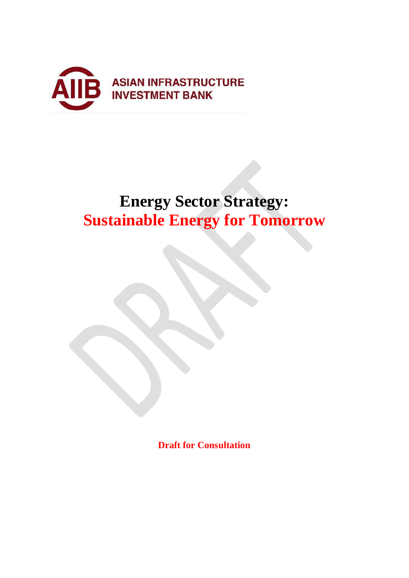

# **Energy Sector Strategy: Sustainable Energy for Tomorrow**

**Draft for Consultation**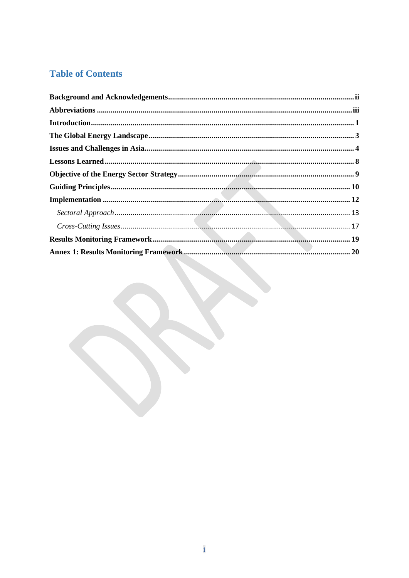# **Table of Contents**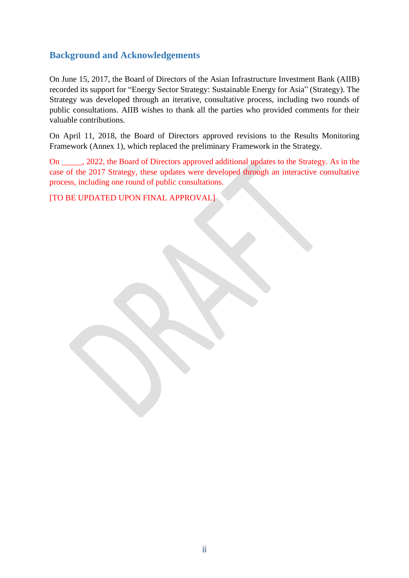# <span id="page-2-0"></span>**Background and Acknowledgements**

On June 15, 2017, the Board of Directors of the Asian Infrastructure Investment Bank (AIIB) recorded its support for "Energy Sector Strategy: Sustainable Energy for Asia" (Strategy). The Strategy was developed through an iterative, consultative process, including two rounds of public consultations. AIIB wishes to thank all the parties who provided comments for their valuable contributions.

On April 11, 2018, the Board of Directors approved revisions to the Results Monitoring Framework (Annex 1), which replaced the preliminary Framework in the Strategy.

On \_\_\_\_\_, 2022, the Board of Directors approved additional updates to the Strategy. As in the case of the 2017 Strategy, these updates were developed through an interactive consultative process, including one round of public consultations.

[TO BE UPDATED UPON FINAL APPROVAL]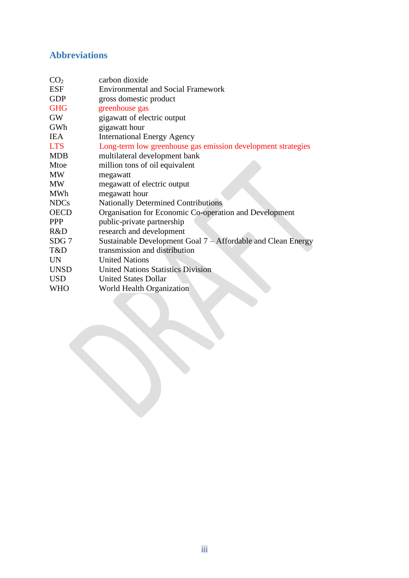# <span id="page-3-0"></span>**Abbreviations**

| CO <sub>2</sub>  | carbon dioxide                                                 |
|------------------|----------------------------------------------------------------|
| <b>ESF</b>       | <b>Environmental and Social Framework</b>                      |
| <b>GDP</b>       | gross domestic product                                         |
| <b>GHG</b>       | greenhouse gas                                                 |
| <b>GW</b>        | gigawatt of electric output                                    |
| GWh              | gigawatt hour                                                  |
| <b>IEA</b>       | <b>International Energy Agency</b>                             |
| <b>LTS</b>       | Long-term low greenhouse gas emission development strategies   |
| <b>MDB</b>       | multilateral development bank                                  |
| Mtoe             | million tons of oil equivalent                                 |
| <b>MW</b>        | megawatt                                                       |
| <b>MW</b>        | megawatt of electric output                                    |
| <b>MWh</b>       | megawatt hour                                                  |
| <b>NDCs</b>      | <b>Nationally Determined Contributions</b>                     |
| <b>OECD</b>      | Organisation for Economic Co-operation and Development         |
| <b>PPP</b>       | public-private partnership                                     |
| R&D              | research and development                                       |
| SDG <sub>7</sub> | Sustainable Development Goal $7 -$ Affordable and Clean Energy |
| T&D              | transmission and distribution                                  |
| <b>UN</b>        | <b>United Nations</b>                                          |
| <b>UNSD</b>      | <b>United Nations Statistics Division</b>                      |
| <b>USD</b>       | <b>United States Dollar</b>                                    |
| WHO              | World Health Organization                                      |
|                  |                                                                |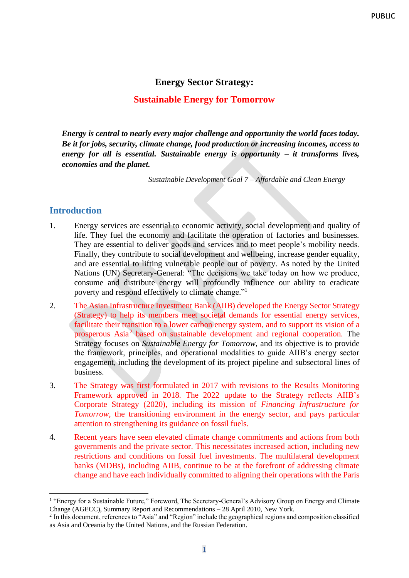### **Energy Sector Strategy:**

#### **Sustainable Energy for Tomorrow**

*Energy is central to nearly every major challenge and opportunity the world faces today. Be it for jobs, security, climate change, food production or increasing incomes, access to energy for all is essential. Sustainable energy is opportunity – it transforms lives, economies and the planet.*

*Sustainable Development Goal 7 – Affordable and Clean Energy* 

#### <span id="page-4-0"></span>**Introduction**

- 1. Energy services are essential to economic activity, social development and quality of life. They fuel the economy and facilitate the operation of factories and businesses. They are essential to deliver goods and services and to meet people's mobility needs. Finally, they contribute to social development and wellbeing, increase gender equality, and are essential to lifting vulnerable people out of poverty. As noted by the United Nations (UN) Secretary-General: "The decisions we take today on how we produce, consume and distribute energy will profoundly influence our ability to eradicate poverty and respond effectively to climate change."<sup>1</sup>
- 2. The Asian Infrastructure Investment Bank (AIIB) developed the Energy Sector Strategy (Strategy) to help its members meet societal demands for essential energy services, facilitate their transition to a lower carbon energy system, and to support its vision of a prosperous Asia<sup>2</sup> based on sustainable development and regional cooperation. The Strategy focuses on *Sustainable Energy for Tomorrow*, and its objective is to provide the framework, principles, and operational modalities to guide AIIB's energy sector engagement, including the development of its project pipeline and subsectoral lines of business.
- 3. The Strategy was first formulated in 2017 with revisions to the Results Monitoring Framework approved in 2018. The 2022 update to the Strategy reflects AIIB's Corporate Strategy (2020), including its mission of *Financing Infrastructure for Tomorrow*, the transitioning environment in the energy sector, and pays particular attention to strengthening its guidance on fossil fuels.
- 4. Recent years have seen elevated climate change commitments and actions from both governments and the private sector. This necessitates increased action, including new restrictions and conditions on fossil fuel investments. The multilateral development banks (MDBs), including AIIB, continue to be at the forefront of addressing climate change and have each individually committed to aligning their operations with the Paris

<sup>&</sup>lt;sup>1</sup> "Energy for a Sustainable Future," Foreword, The Secretary-General's Advisory Group on Energy and Climate Change (AGECC), Summary Report and Recommendations – 28 April 2010, New York.

 $2$  In this document, references to "Asia" and "Region" include the geographical regions and composition classified as Asia and Oceania by the United Nations, and the Russian Federation.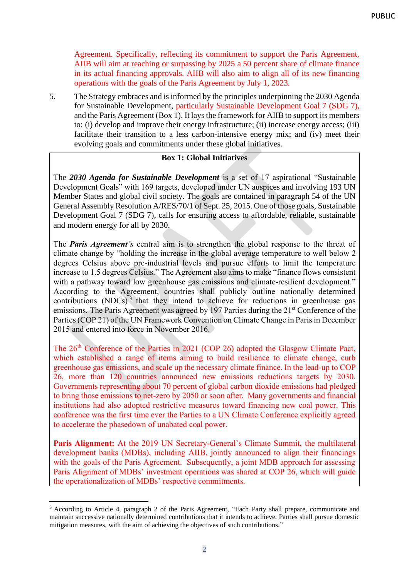Agreement. Specifically, reflecting its commitment to support the Paris Agreement, AIIB will aim at reaching or surpassing by 2025 a 50 percent share of climate finance in its actual financing approvals. AIIB will also aim to align all of its new financing operations with the goals of the Paris Agreement by July 1, 2023.

5. The Strategy embraces and is informed by the principles underpinning the 2030 Agenda for Sustainable Development, particularly Sustainable Development Goal 7 (SDG 7), and the Paris Agreement (Box 1). It lays the framework for AIIB to support its members to: (i) develop and improve their energy infrastructure; (ii) increase energy access; (iii) facilitate their transition to a less carbon-intensive energy mix; and (iv) meet their evolving goals and commitments under these global initiatives.

#### **Box 1: Global Initiatives**

The *2030 Agenda for Sustainable Development* is a set of 17 aspirational "Sustainable Development Goals" with 169 targets, developed under UN auspices and involving 193 UN Member States and global civil society. The goals are contained in paragraph 54 of the UN General Assembly Resolution A/RES/70/1 of Sept. 25, 2015. One of those goals, Sustainable Development Goal 7 (SDG 7), calls for ensuring access to affordable, reliable, sustainable and modern energy for all by 2030.

The *Paris Agreement's* central aim is to strengthen the global response to the threat of climate change by "holding the increase in the global average temperature to well below 2 degrees Celsius above pre-industrial levels and pursue efforts to limit the temperature increase to 1.5 degrees Celsius." The Agreement also aims to make "finance flows consistent with a pathway toward low greenhouse gas emissions and climate-resilient development." According to the Agreement, countries shall publicly outline nationally determined contributions (NDCs)<sup>3</sup> that they intend to achieve for reductions in greenhouse gas emissions. The Paris Agreement was agreed by 197 Parties during the 21<sup>st</sup> Conference of the Parties (COP 21) of the UN Framework Convention on Climate Change in Paris in December 2015 and entered into force in November 2016.

The 26<sup>th</sup> Conference of the Parties in 2021 (COP 26) adopted the Glasgow Climate Pact, which established a range of items aiming to build resilience to climate change, curb greenhouse gas emissions, and scale up the necessary climate finance. In the lead-up to COP 26, more than 120 countries announced new emissions reductions targets by 2030. Governments representing about 70 percent of global carbon dioxide emissions had pledged to bring those emissions to net-zero by 2050 or soon after. Many governments and financial institutions had also adopted restrictive measures toward financing new coal power. This conference was the first time ever the Parties to a UN Climate Conference explicitly agreed to accelerate the phasedown of unabated coal power.

Paris Alignment: At the 2019 UN Secretary-General's Climate Summit, the multilateral development banks (MDBs), including AIIB, jointly announced to align their financings with the goals of the Paris Agreement. Subsequently, a joint MDB approach for assessing Paris Alignment of MDBs' investment operations was shared at COP 26, which will guide the operationalization of MDBs' respective commitments.

<sup>&</sup>lt;sup>3</sup> According to Article 4, paragraph 2 of the Paris Agreement, "Each Party shall prepare, communicate and maintain successive nationally determined contributions that it intends to achieve. Parties shall pursue domestic mitigation measures, with the aim of achieving the objectives of such contributions."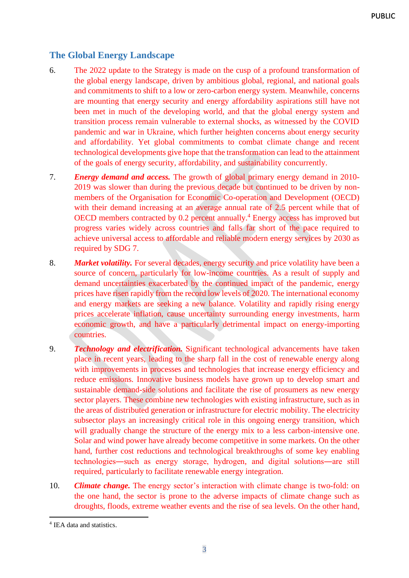# <span id="page-6-0"></span>**The Global Energy Landscape**

- 6. The 2022 update to the Strategy is made on the cusp of a profound transformation of the global energy landscape, driven by ambitious global, regional, and national goals and commitments to shift to a low or zero-carbon energy system. Meanwhile, concerns are mounting that energy security and energy affordability aspirations still have not been met in much of the developing world, and that the global energy system and transition process remain vulnerable to external shocks, as witnessed by the COVID pandemic and war in Ukraine, which further heighten concerns about energy security and affordability. Yet global commitments to combat climate change and recent technological developments give hope that the transformation can lead to the attainment of the goals of energy security, affordability, and sustainability concurrently.
- 7. *Energy demand and access.* The growth of global primary energy demand in 2010- 2019 was slower than during the previous decade but continued to be driven by nonmembers of the Organisation for Economic Co-operation and Development (OECD) with their demand increasing at an average annual rate of 2.5 percent while that of OECD members contracted by 0.2 percent annually.<sup>4</sup> Energy access has improved but progress varies widely across countries and falls far short of the pace required to achieve universal access to affordable and reliable modern energy services by 2030 as required by SDG 7.
- 8. *Market volatility.* For several decades, energy security and price volatility have been a source of concern, particularly for low-income countries. As a result of supply and demand uncertainties exacerbated by the continued impact of the pandemic, energy prices have risen rapidly from the record low levels of 2020. The international economy and energy markets are seeking a new balance. Volatility and rapidly rising energy prices accelerate inflation, cause uncertainty surrounding energy investments, harm economic growth, and have a particularly detrimental impact on energy-importing countries.
- 9. *Technology and electrification.* Significant technological advancements have taken place in recent years, leading to the sharp fall in the cost of renewable energy along with improvements in processes and technologies that increase energy efficiency and reduce emissions. Innovative business models have grown up to develop smart and sustainable demand-side solutions and facilitate the rise of prosumers as new energy sector players. These combine new technologies with existing infrastructure, such as in the areas of distributed generation or infrastructure for electric mobility. The electricity subsector plays an increasingly critical role in this ongoing energy transition, which will gradually change the structure of the energy mix to a less carbon-intensive one. Solar and wind power have already become competitive in some markets. On the other hand, further cost reductions and technological breakthroughs of some key enabling technologies―such as energy storage, hydrogen, and digital solutions―are still required, particularly to facilitate renewable energy integration.
- 10. *Climate change.* The energy sector's interaction with climate change is two-fold: on the one hand, the sector is prone to the adverse impacts of climate change such as droughts, floods, extreme weather events and the rise of sea levels. On the other hand,

<sup>4</sup> IEA data and statistics.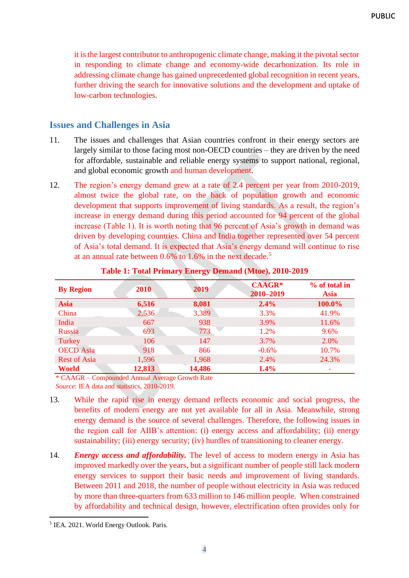it is the largest contributor to anthropogenic climate change, making it the pivotal sector in responding to climate change and economy-wide decarbonization. Its role in addressing climate change has gained unprecedented global recognition in recent years, further driving the search for innovative solutions and the development and uptake of low-carbon technologies.

# <span id="page-7-0"></span>**Issues and Challenges in Asia**

- 11. The issues and challenges that Asian countries confront in their energy sectors are largely similar to those facing most non-OECD countries – they are driven by the need for affordable, sustainable and reliable energy systems to support national, regional, and global economic growth and human development.
- 12. The region's energy demand grew at a rate of 2.4 percent per year from 2010-2019, almost twice the global rate, on the back of population growth and economic development that supports improvement of living standards. As a result, the region's increase in energy demand during this period accounted for 94 percent of the global increase (Table 1). It is worth noting that 96 percent of Asia's growth in demand was driven by developing countries. China and India together represented over 54 percent of Asia's total demand. It is expected that Asia's energy demand will continue to rise at an annual rate between 0.6% to 1.6% in the next decade.<sup>5</sup>

| <b>By Region</b>    | 2010   | 2019   | <b>CAAGR*</b><br>2010-2019 | % of total in<br><b>Asia</b> |
|---------------------|--------|--------|----------------------------|------------------------------|
| <b>Asia</b>         | 6,516  | 8,081  | 2.4%                       | 100.0%                       |
| China               | 2,536  | 3,389  | 3.3%                       | 41.9%                        |
| India               | 667    | 938    | 3.9%                       | 11.6%                        |
| <b>Russia</b>       | 693    | 773    | 1.2%                       | 9.6%                         |
| Turkey              | 106    | 147    | 3.7%                       | 2.0%                         |
| <b>OECD</b> Asia    | 918    | 866    | $-0.6%$                    | 10.7%                        |
| <b>Rest of Asia</b> | 1,596  | 1,968  | 2.4%                       | 24.3%                        |
| <b>World</b>        | 12,813 | 14,486 | 1.4%                       |                              |

#### **Table 1: Total Primary Energy Demand (Mtoe), 2010-2019**

\* CAAGR – Compounded Annual Average Growth Rate

- *Source*: IEA data and statistics, 2010-2019.
- 13. While the rapid rise in energy demand reflects economic and social progress, the benefits of modern energy are not yet available for all in Asia. Meanwhile, strong energy demand is the source of several challenges. Therefore, the following issues in the region call for AIIB's attention: (i) energy access and affordability; (ii) energy sustainability; (iii) energy security; (iv) hurdles of transitioning to cleaner energy.
- 14. *Energy access and affordability.* The level of access to modern energy in Asia has improved markedly over the years, but a significant number of people still lack modern energy services to support their basic needs and improvement of living standards. Between 2011 and 2018, the number of people without electricity in Asia was reduced by more than three-quarters from 633 million to 146 million people. When constrained by affordability and technical design, however, electrification often provides only for

<sup>5</sup> IEA. 2021. World Energy Outlook. Paris.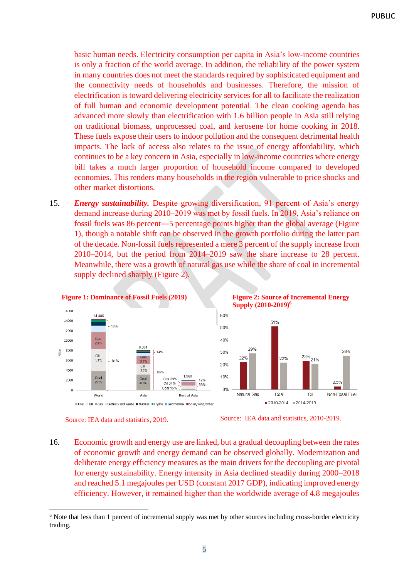basic human needs. Electricity consumption per capita in Asia's low-income countries is only a fraction of the world average. In addition, the reliability of the power system in many countries does not meet the standards required by sophisticated equipment and the connectivity needs of households and businesses. Therefore, the mission of electrification is toward delivering electricity services for all to facilitate the realization of full human and economic development potential. The clean cooking agenda has advanced more slowly than electrification with 1.6 billion people in Asia still relying on traditional biomass, unprocessed coal, and kerosene for home cooking in 2018. These fuels expose their users to indoor pollution and the consequent detrimental health impacts. The lack of access also relates to the issue of energy affordability, which continues to be a key concern in Asia, especially in low-income countries where energy bill takes a much larger proportion of household income compared to developed economies. This renders many households in the region vulnerable to price shocks and other market distortions.

15. *Energy sustainability.* Despite growing diversification, 91 percent of Asia's energy demand increase during 2010–2019 was met by fossil fuels. In 2019, Asia's reliance on fossil fuels was 86 percent―5 percentage points higher than the global average (Figure 1), though a notable shift can be observed in the growth portfolio during the latter part of the decade. Non-fossil fuels represented a mere 3 percent of the supply increase from 2010–2014, but the period from 2014–2019 saw the share increase to 28 percent. Meanwhile, there was a growth of natural gas use while the share of coal in incremental supply declined sharply (Figure 2).



**Figure 2: Source of Incremental Energy Supply (2010-2019)<sup>6</sup>**



Source: IEA data and statistics, 2019.

Source: IEA data and statistics, 2010-2019.

16. Economic growth and energy use are linked, but a gradual decoupling between the rates of economic growth and energy demand can be observed globally. Modernization and deliberate energy efficiency measures as the main drivers for the decoupling are pivotal for energy sustainability. Energy intensity in Asia declined steadily during 2000–2018 and reached 5.1 megajoules per USD (constant 2017 GDP), indicating improved energy efficiency. However, it remained higher than the worldwide average of 4.8 megajoules

<sup>&</sup>lt;sup>6</sup> Note that less than 1 percent of incremental supply was met by other sources including cross-border electricity trading.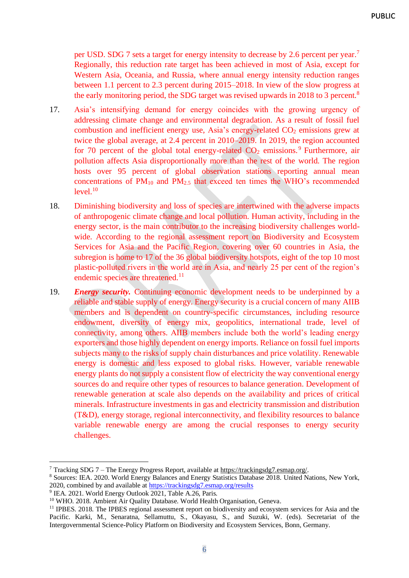per USD. SDG 7 sets a target for energy intensity to decrease by 2.6 percent per year.<sup>7</sup> Regionally, this reduction rate target has been achieved in most of Asia, except for Western Asia, Oceania, and Russia, where annual energy intensity reduction ranges between 1.1 percent to 2.3 percent during 2015–2018. In view of the slow progress at the early monitoring period, the SDG target was revised upwards in 2018 to 3 percent.<sup>8</sup>

- 17. Asia's intensifying demand for energy coincides with the growing urgency of addressing climate change and environmental degradation. As a result of fossil fuel combustion and inefficient energy use, Asia's energy-related  $CO<sub>2</sub>$  emissions grew at twice the global average, at 2.4 percent in 2010–2019. In 2019, the region accounted for 70 percent of the global total energy-related  $CO<sub>2</sub>$  emissions.<sup>9</sup> Furthermore, air pollution affects Asia disproportionally more than the rest of the world. The region hosts over 95 percent of global observation stations reporting annual mean concentrations of  $PM_{10}$  and  $PM_{2.5}$  that exceed ten times the WHO's recommended  $level.<sup>10</sup>$
- 18. Diminishing biodiversity and loss of species are intertwined with the adverse impacts of anthropogenic climate change and local pollution. Human activity, including in the energy sector, is the main contributor to the increasing biodiversity challenges worldwide. According to the regional assessment report on Biodiversity and Ecosystem Services for Asia and the Pacific Region, covering over 60 countries in Asia, the subregion is home to 17 of the 36 global biodiversity hotspots, eight of the top 10 most plastic-polluted rivers in the world are in Asia, and nearly 25 per cent of the region's endemic species are threatened.<sup>11</sup>
- 19. *Energy security.* Continuing economic development needs to be underpinned by a reliable and stable supply of energy. Energy security is a crucial concern of many AIIB members and is dependent on country-specific circumstances, including resource endowment, diversity of energy mix, geopolitics, international trade, level of connectivity, among others. AIIB members include both the world's leading energy exporters and those highly dependent on energy imports. Reliance on fossil fuel imports subjects many to the risks of supply chain disturbances and price volatility. Renewable energy is domestic and less exposed to global risks. However, variable renewable energy plants do not supply a consistent flow of electricity the way conventional energy sources do and require other types of resources to balance generation. Development of renewable generation at scale also depends on the availability and prices of critical minerals. Infrastructure investments in gas and electricity transmission and distribution (T&D), energy storage, regional interconnectivity, and flexibility resources to balance variable renewable energy are among the crucial responses to energy security challenges.

<sup>7</sup> Tracking SDG 7 – The Energy Progress Report, available a[t https://trackingsdg7.esmap.org/.](about:blank)

<sup>8</sup> Sources: IEA. 2020. World Energy Balances and Energy Statistics Database 2018. United Nations, New York, 2020, combined by and available a[t https://trackingsdg7.esmap.org/results](https://trackingsdg7.esmap.org/results)

<sup>&</sup>lt;sup>9</sup> IEA. 2021. World Energy Outlook 2021, Table A.26, Paris.

<sup>&</sup>lt;sup>10</sup> WHO. 2018. Ambient Air Quality Database. World Health Organisation, Geneva.

<sup>&</sup>lt;sup>11</sup> IPBES. 2018. The IPBES regional assessment report on biodiversity and ecosystem services for Asia and the Pacific. Karki, M., Senaratna, Sellamuttu, S., Okayasu, S., and Suzuki, W. (eds). Secretariat of the Intergovernmental Science-Policy Platform on Biodiversity and Ecosystem Services, Bonn, Germany.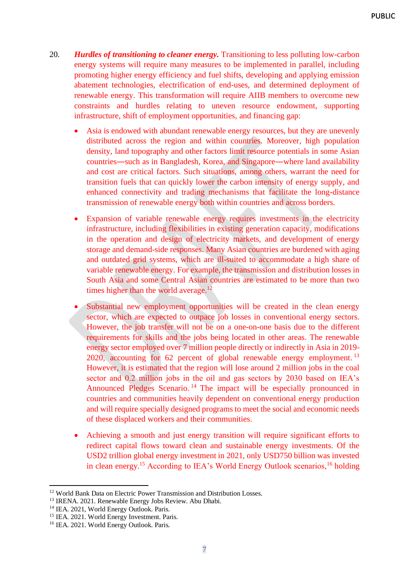- 20. *Hurdles of transitioning to cleaner energy.* Transitioning to less polluting low-carbon energy systems will require many measures to be implemented in parallel, including promoting higher energy efficiency and fuel shifts, developing and applying emission abatement technologies, electrification of end-uses, and determined deployment of renewable energy. This transformation will require AIIB members to overcome new constraints and hurdles relating to uneven resource endowment, supporting infrastructure, shift of employment opportunities, and financing gap:
	- Asia is endowed with abundant renewable energy resources, but they are unevenly distributed across the region and within countries. Moreover, high population density, land topography and other factors limit resource potentials in some Asian countries―such as in Bangladesh, Korea, and Singapore―where land availability and cost are critical factors. Such situations, among others, warrant the need for transition fuels that can quickly lower the carbon intensity of energy supply, and enhanced connectivity and trading mechanisms that facilitate the long-distance transmission of renewable energy both within countries and across borders.
	- Expansion of variable renewable energy requires investments in the electricity infrastructure, including flexibilities in existing generation capacity, modifications in the operation and design of electricity markets, and development of energy storage and demand-side responses. Many Asian countries are burdened with aging and outdated grid systems, which are ill-suited to accommodate a high share of variable renewable energy. For example, the transmission and distribution losses in South Asia and some Central Asian countries are estimated to be more than two times higher than the world average.<sup>12</sup>
	- Substantial new employment opportunities will be created in the clean energy sector, which are expected to outpace job losses in conventional energy sectors. However, the job transfer will not be on a one-on-one basis due to the different requirements for skills and the jobs being located in other areas. The renewable energy sector employed over 7 million people directly or indirectly in Asia in 2019- 2020, accounting for 62 percent of global renewable energy employment.<sup>13</sup> However, it is estimated that the region will lose around 2 million jobs in the coal sector and 0.2 million jobs in the oil and gas sectors by 2030 based on IEA's Announced Pledges Scenario. <sup>14</sup> The impact will be especially pronounced in countries and communities heavily dependent on conventional energy production and will require specially designed programs to meet the social and economic needs of these displaced workers and their communities.
	- Achieving a smooth and just energy transition will require significant efforts to redirect capital flows toward clean and sustainable energy investments. Of the USD2 trillion global energy investment in 2021, only USD750 billion was invested in clean energy.<sup>15</sup> According to IEA's World Energy Outlook scenarios,<sup>16</sup> holding

<sup>&</sup>lt;sup>12</sup> World Bank Data on Electric Power Transmission and Distribution Losses.

<sup>13</sup> IRENA. 2021. Renewable Energy Jobs Review. Abu Dhabi.

<sup>&</sup>lt;sup>14</sup> IEA. 2021, World Energy Outlook. Paris.

<sup>&</sup>lt;sup>15</sup> IEA. 2021. World Energy Investment. Paris.

<sup>16</sup> IEA. 2021. World Energy Outlook. Paris.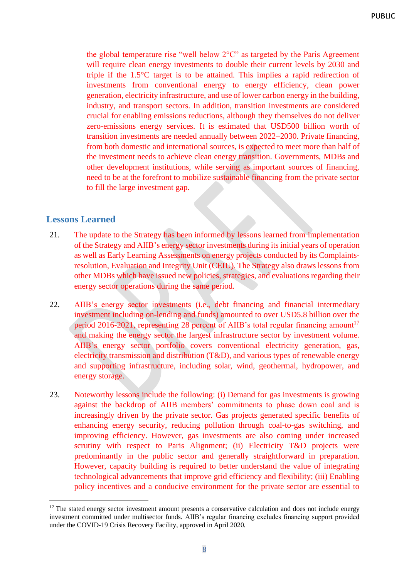the global temperature rise "well below 2°C" as targeted by the Paris Agreement will require clean energy investments to double their current levels by 2030 and triple if the 1.5°C target is to be attained. This implies a rapid redirection of investments from conventional energy to energy efficiency, clean power generation, electricity infrastructure, and use of lower carbon energy in the building, industry, and transport sectors. In addition, transition investments are considered crucial for enabling emissions reductions, although they themselves do not deliver zero-emissions energy services. It is estimated that USD500 billion worth of transition investments are needed annually between 2022–2030. Private financing, from both domestic and international sources, is expected to meet more than half of the investment needs to achieve clean energy transition. Governments, MDBs and other development institutions, while serving as important sources of financing, need to be at the forefront to mobilize sustainable financing from the private sector to fill the large investment gap.

#### <span id="page-11-0"></span>**Lessons Learned**

- 21. The update to the Strategy has been informed by lessons learned from implementation of the Strategy and AIIB's energy sector investments during its initial years of operation as well as Early Learning Assessments on energy projects conducted by its Complaintsresolution, Evaluation and Integrity Unit (CEIU). The Strategy also draws lessons from other MDBs which have issued new policies, strategies, and evaluations regarding their energy sector operations during the same period.
- 22. AIIB's energy sector investments (i.e., debt financing and financial intermediary investment including on-lending and funds) amounted to over USD5.8 billion over the period 2016-2021, representing 28 percent of AIIB's total regular financing amount<sup>17</sup> and making the energy sector the largest infrastructure sector by investment volume. AIIB's energy sector portfolio covers conventional electricity generation, gas, electricity transmission and distribution (T&D), and various types of renewable energy and supporting infrastructure, including solar, wind, geothermal, hydropower, and energy storage.
- 23. Noteworthy lessons include the following: (i) Demand for gas investments is growing against the backdrop of AIIB members' commitments to phase down coal and is increasingly driven by the private sector. Gas projects generated specific benefits of enhancing energy security, reducing pollution through coal-to-gas switching, and improving efficiency. However, gas investments are also coming under increased scrutiny with respect to Paris Alignment; (ii) Electricity T&D projects were predominantly in the public sector and generally straightforward in preparation. However, capacity building is required to better understand the value of integrating technological advancements that improve grid efficiency and flexibility; (iii) Enabling policy incentives and a conducive environment for the private sector are essential to

<sup>&</sup>lt;sup>17</sup> The stated energy sector investment amount presents a conservative calculation and does not include energy investment committed under multisector funds. AIIB's regular financing excludes financing support provided under the COVID-19 Crisis Recovery Facility, approved in April 2020.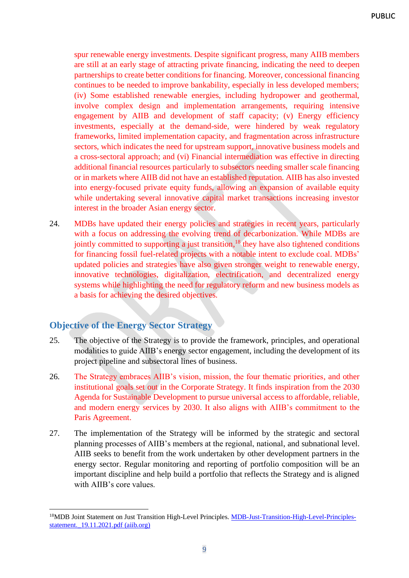spur renewable energy investments. Despite significant progress, many AIIB members are still at an early stage of attracting private financing, indicating the need to deepen partnerships to create better conditions for financing. Moreover, concessional financing continues to be needed to improve bankability, especially in less developed members; (iv) Some established renewable energies, including hydropower and geothermal, involve complex design and implementation arrangements, requiring intensive engagement by AIIB and development of staff capacity; (v) Energy efficiency investments, especially at the demand-side, were hindered by weak regulatory frameworks, limited implementation capacity, and fragmentation across infrastructure sectors, which indicates the need for upstream support, innovative business models and a cross-sectoral approach; and (vi) Financial intermediation was effective in directing additional financial resources particularly to subsectors needing smaller scale financing or in markets where AIIB did not have an established reputation. AIIB has also invested into energy-focused private equity funds, allowing an expansion of available equity while undertaking several innovative capital market transactions increasing investor interest in the broader Asian energy sector.

24. MDBs have updated their energy policies and strategies in recent years, particularly with a focus on addressing the evolving trend of decarbonization. While MDBs are jointly committed to supporting a just transition,<sup>18</sup> they have also tightened conditions for financing fossil fuel-related projects with a notable intent to exclude coal. MDBs' updated policies and strategies have also given stronger weight to renewable energy, innovative technologies, digitalization, electrification, and decentralized energy systems while highlighting the need for regulatory reform and new business models as a basis for achieving the desired objectives.

# <span id="page-12-0"></span>**Objective of the Energy Sector Strategy**

- 25. The objective of the Strategy is to provide the framework, principles, and operational modalities to guide AIIB's energy sector engagement, including the development of its project pipeline and subsectoral lines of business.
- 26. The Strategy embraces AIIB's vision, mission, the four thematic priorities, and other institutional goals set out in the Corporate Strategy. It finds inspiration from the 2030 Agenda for Sustainable Development to pursue universal access to affordable, reliable, and modern energy services by 2030. It also aligns with AIIB's commitment to the Paris Agreement.
- 27. The implementation of the Strategy will be informed by the strategic and sectoral planning processes of AIIB's members at the regional, national, and subnational level. AIIB seeks to benefit from the work undertaken by other development partners in the energy sector. Regular monitoring and reporting of portfolio composition will be an important discipline and help build a portfolio that reflects the Strategy and is aligned with AIIB's core values.

<sup>&</sup>lt;sup>18</sup>MDB Joint Statement on Just Transition High-Level Principles. [MDB-Just-Transition-High-Level-Principles](https://www.aiib.org/en/about-aiib/who-we-are/partnership/_download/MDB-Just-Transition-High-Level-Principles-statement._19.11.2021.pdf)statement.  $19.11.2021.pdf$  (aiib.org)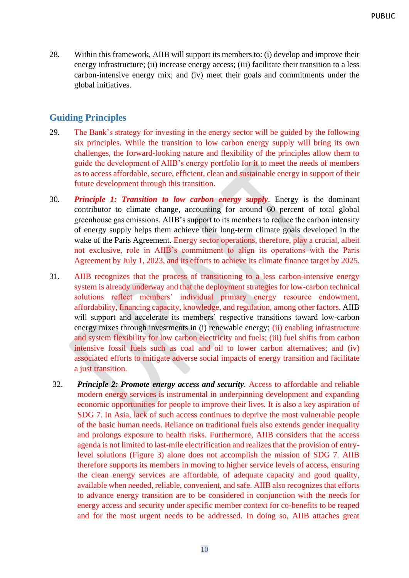28. Within this framework, AIIB will support its members to: (i) develop and improve their energy infrastructure; (ii) increase energy access; (iii) facilitate their transition to a less carbon-intensive energy mix; and (iv) meet their goals and commitments under the global initiatives.

# <span id="page-13-0"></span>**Guiding Principles**

- 29. The Bank's strategy for investing in the energy sector will be guided by the following six principles. While the transition to low carbon energy supply will bring its own challenges, the forward-looking nature and flexibility of the principles allow them to guide the development of AIIB's energy portfolio for it to meet the needs of members as to access affordable, secure, efficient, clean and sustainable energy in support of their future development through this transition.
- 30. *Principle 1: Transition to low carbon energy supply*. Energy is the dominant contributor to climate change, accounting for around 60 percent of total global greenhouse gas emissions. AIIB's support to its members to reduce the carbon intensity of energy supply helps them achieve their long-term climate goals developed in the wake of the Paris Agreement. Energy sector operations, therefore, play a crucial, albeit not exclusive, role in AIIB's commitment to align its operations with the Paris Agreement by July 1, 2023, and its efforts to achieve its climate finance target by 2025.
- 31. AIIB recognizes that the process of transitioning to a less carbon-intensive energy system is already underway and that the deployment strategies for low-carbon technical solutions reflect members' individual primary energy resource endowment, affordability, financing capacity, knowledge, and regulation, among other factors. AIIB will support and accelerate its members' respective transitions toward low-carbon energy mixes through investments in (i) renewable energy; (ii) enabling infrastructure and system flexibility for low carbon electricity and fuels; (iii) fuel shifts from carbon intensive fossil fuels such as coal and oil to lower carbon alternatives; and (iv) associated efforts to mitigate adverse social impacts of energy transition and facilitate a just transition.
- 32. *Principle 2: Promote energy access and security*. Access to affordable and reliable modern energy services is instrumental in underpinning development and expanding economic opportunities for people to improve their lives. It is also a key aspiration of SDG 7. In Asia, lack of such access continues to deprive the most vulnerable people of the basic human needs. Reliance on traditional fuels also extends gender inequality and prolongs exposure to health risks. Furthermore, AIIB considers that the access agenda is not limited to last-mile electrification and realizes that the provision of entrylevel solutions (Figure 3) alone does not accomplish the mission of SDG 7. AIIB therefore supports its members in moving to higher service levels of access, ensuring the clean energy services are affordable, of adequate capacity and good quality, available when needed, reliable, convenient, and safe. AIIB also recognizes that efforts to advance energy transition are to be considered in conjunction with the needs for energy access and security under specific member context for co-benefits to be reaped and for the most urgent needs to be addressed. In doing so, AIIB attaches great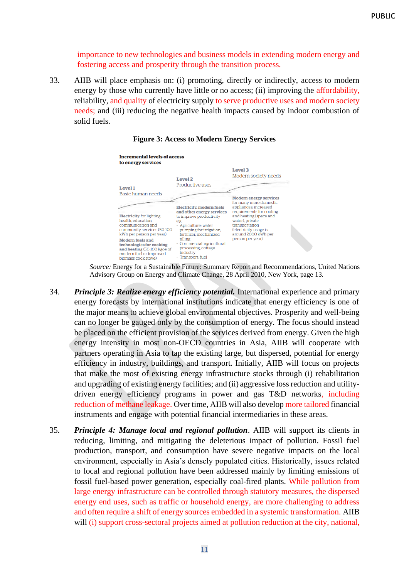importance to new technologies and business models in extending modern energy and fostering access and prosperity through the transition process.

33. AIIB will place emphasis on: (i) promoting, directly or indirectly, access to modern energy by those who currently have little or no access; (ii) improving the affordability, reliability, and quality of electricity supply to serve productive uses and modern society needs; and (iii) reducing the negative health impacts caused by indoor combustion of solid fuels.



#### **Figure 3: Access to Modern Energy Services**

*Source:* Energy for a Sustainable Future: Summary Report and Recommendations, United Nations Advisory Group on Energy and Climate Change, 28 April 2010, New York, page 13.

- 34. *Principle 3: Realize energy efficiency potential.* International experience and primary energy forecasts by international institutions indicate that energy efficiency is one of the major means to achieve global environmental objectives. Prosperity and well-being can no longer be gauged only by the consumption of energy. The focus should instead be placed on the efficient provision of the services derived from energy. Given the high energy intensity in most non-OECD countries in Asia, AIIB will cooperate with partners operating in Asia to tap the existing large, but dispersed, potential for energy efficiency in industry, buildings, and transport. Initially, AIIB will focus on projects that make the most of existing energy infrastructure stocks through (i) rehabilitation and upgrading of existing energy facilities; and (ii) aggressive loss reduction and utilitydriven energy efficiency programs in power and gas T&D networks, including reduction of methane leakage. Over time, AIIB will also develop more tailored financial instruments and engage with potential financial intermediaries in these areas.
- 35. *Principle 4: Manage local and regional pollution*. AIIB will support its clients in reducing, limiting, and mitigating the deleterious impact of pollution. Fossil fuel production, transport, and consumption have severe negative impacts on the local environment, especially in Asia's densely populated cities. Historically, issues related to local and regional pollution have been addressed mainly by limiting emissions of fossil fuel-based power generation, especially coal-fired plants. While pollution from large energy infrastructure can be controlled through statutory measures, the dispersed energy end uses, such as traffic or household energy, are more challenging to address and often require a shift of energy sources embedded in a systemic transformation. AIIB will (i) support cross-sectoral projects aimed at pollution reduction at the city, national,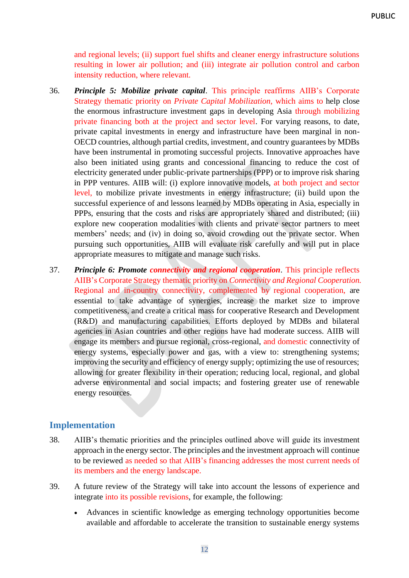and regional levels; (ii) support fuel shifts and cleaner energy infrastructure solutions resulting in lower air pollution; and (iii) integrate air pollution control and carbon intensity reduction, where relevant.

- 36. *Principle 5: Mobilize private capital*. This principle reaffirms AIIB's Corporate Strategy thematic priority on *Private Capital Mobilization*, which aims to help close the enormous infrastructure investment gaps in developing Asia through mobilizing private financing both at the project and sector level. For varying reasons, to date, private capital investments in energy and infrastructure have been marginal in non-OECD countries, although partial credits, investment, and country guarantees by MDBs have been instrumental in promoting successful projects. Innovative approaches have also been initiated using grants and concessional financing to reduce the cost of electricity generated under public-private partnerships (PPP) or to improve risk sharing in PPP ventures. AIIB will: (i) explore innovative models, at both project and sector level, to mobilize private investments in energy infrastructure; (ii) build upon the successful experience of and lessons learned by MDBs operating in Asia, especially in PPPs, ensuring that the costs and risks are appropriately shared and distributed; (iii) explore new cooperation modalities with clients and private sector partners to meet members' needs; and (iv) in doing so, avoid crowding out the private sector. When pursuing such opportunities, AIIB will evaluate risk carefully and will put in place appropriate measures to mitigate and manage such risks.
- 37. *Principle 6: Promote connectivity and regional cooperation*. This principle reflects AIIB's Corporate Strategy thematic priority on *Connectivity and Regional Cooperation.* Regional and in-country connectivity, complemented by regional cooperation, are essential to take advantage of synergies, increase the market size to improve competitiveness, and create a critical mass for cooperative Research and Development (R&D) and manufacturing capabilities. Efforts deployed by MDBs and bilateral agencies in Asian countries and other regions have had moderate success. AIIB will engage its members and pursue regional, cross-regional, and domestic connectivity of energy systems, especially power and gas, with a view to: strengthening systems; improving the security and efficiency of energy supply; optimizing the use of resources; allowing for greater flexibility in their operation; reducing local, regional, and global adverse environmental and social impacts; and fostering greater use of renewable energy resources.

#### <span id="page-15-0"></span>**Implementation**

- 38. AIIB's thematic priorities and the principles outlined above will guide its investment approach in the energy sector. The principles and the investment approach will continue to be reviewed as needed so that AIIB's financing addresses the most current needs of its members and the energy landscape.
- 39. A future review of the Strategy will take into account the lessons of experience and integrate into its possible revisions, for example, the following:
	- Advances in scientific knowledge as emerging technology opportunities become available and affordable to accelerate the transition to sustainable energy systems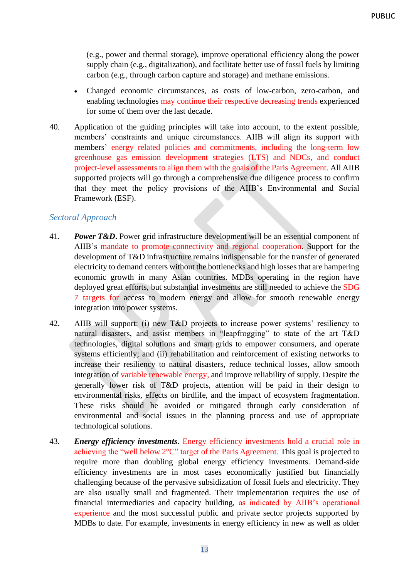(e.g., power and thermal storage), improve operational efficiency along the power supply chain (e.g., digitalization), and facilitate better use of fossil fuels by limiting carbon (e.g., through carbon capture and storage) and methane emissions.

- Changed economic circumstances, as costs of low-carbon, zero-carbon, and enabling technologies may continue their respective decreasing trends experienced for some of them over the last decade.
- 40. Application of the guiding principles will take into account, to the extent possible, members' constraints and unique circumstances. AIIB will align its support with members' energy related policies and commitments, including the long-term low greenhouse gas emission development strategies (LTS) and NDCs, and conduct project-level assessments to align them with the goals of the Paris Agreement. All AIIB supported projects will go through a comprehensive due diligence process to confirm that they meet the policy provisions of the AIIB's Environmental and Social Framework (ESF).

#### <span id="page-16-0"></span>*Sectoral Approach*

- 41. *Power T&D***.** Power grid infrastructure development will be an essential component of AIIB's mandate to promote connectivity and regional cooperation. Support for the development of T&D infrastructure remains indispensable for the transfer of generated electricity to demand centers without the bottlenecks and high losses that are hampering economic growth in many Asian countries. MDBs operating in the region have deployed great efforts, but substantial investments are still needed to achieve the SDG 7 targets for access to modern energy and allow for smooth renewable energy integration into power systems.
- 42. AIIB will support: (i) new T&D projects to increase power systems' resiliency to natural disasters, and assist members in "leapfrogging" to state of the art T&D technologies, digital solutions and smart grids to empower consumers, and operate systems efficiently; and (ii) rehabilitation and reinforcement of existing networks to increase their resiliency to natural disasters, reduce technical losses, allow smooth integration of variable renewable energy, and improve reliability of supply. Despite the generally lower risk of T&D projects, attention will be paid in their design to environmental risks, effects on birdlife, and the impact of ecosystem fragmentation. These risks should be avoided or mitigated through early consideration of environmental and social issues in the planning process and use of appropriate technological solutions.
- 43. *Energy efficiency investments*. Energy efficiency investments hold a crucial role in achieving the "well below 2°C" target of the Paris Agreement. This goal is projected to require more than doubling global energy efficiency investments. Demand-side efficiency investments are in most cases economically justified but financially challenging because of the pervasive subsidization of fossil fuels and electricity. They are also usually small and fragmented. Their implementation requires the use of financial intermediaries and capacity building, as indicated by AIIB's operational experience and the most successful public and private sector projects supported by MDBs to date. For example, investments in energy efficiency in new as well as older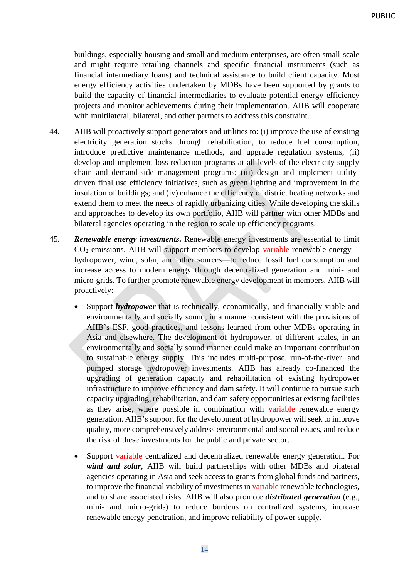buildings, especially housing and small and medium enterprises, are often small-scale and might require retailing channels and specific financial instruments (such as financial intermediary loans) and technical assistance to build client capacity. Most energy efficiency activities undertaken by MDBs have been supported by grants to build the capacity of financial intermediaries to evaluate potential energy efficiency projects and monitor achievements during their implementation. AIIB will cooperate with multilateral, bilateral, and other partners to address this constraint.

- 44. AIIB will proactively support generators and utilities to: (i) improve the use of existing electricity generation stocks through rehabilitation, to reduce fuel consumption, introduce predictive maintenance methods, and upgrade regulation systems; (ii) develop and implement loss reduction programs at all levels of the electricity supply chain and demand-side management programs; (iii) design and implement utilitydriven final use efficiency initiatives, such as green lighting and improvement in the insulation of buildings; and (iv) enhance the efficiency of district heating networks and extend them to meet the needs of rapidly urbanizing cities. While developing the skills and approaches to develop its own portfolio, AIIB will partner with other MDBs and bilateral agencies operating in the region to scale up efficiency programs.
- 45. *Renewable energy investments***.** Renewable energy investments are essential to limit CO<sup>2</sup> emissions. AIIB will support members to develop variable renewable energy hydropower, wind, solar, and other sources—to reduce fossil fuel consumption and increase access to modern energy through decentralized generation and mini- and micro-grids. To further promote renewable energy development in members, AIIB will proactively:
	- Support *hydropower* that is technically, economically, and financially viable and environmentally and socially sound, in a manner consistent with the provisions of AIIB's ESF, good practices, and lessons learned from other MDBs operating in Asia and elsewhere. The development of hydropower, of different scales, in an environmentally and socially sound manner could make an important contribution to sustainable energy supply. This includes multi-purpose, run-of-the-river, and pumped storage hydropower investments. AIIB has already co-financed the upgrading of generation capacity and rehabilitation of existing hydropower infrastructure to improve efficiency and dam safety. It will continue to pursue such capacity upgrading, rehabilitation, and dam safety opportunities at existing facilities as they arise, where possible in combination with variable renewable energy generation. AIIB's support for the development of hydropower will seek to improve quality, more comprehensively address environmental and social issues, and reduce the risk of these investments for the public and private sector.
	- Support variable centralized and decentralized renewable energy generation. For *wind and solar*, AIIB will build partnerships with other MDBs and bilateral agencies operating in Asia and seek access to grants from global funds and partners, to improve the financial viability of investments in variable renewable technologies, and to share associated risks. AIIB will also promote *distributed generation* (e.g., mini- and micro-grids) to reduce burdens on centralized systems, increase renewable energy penetration, and improve reliability of power supply.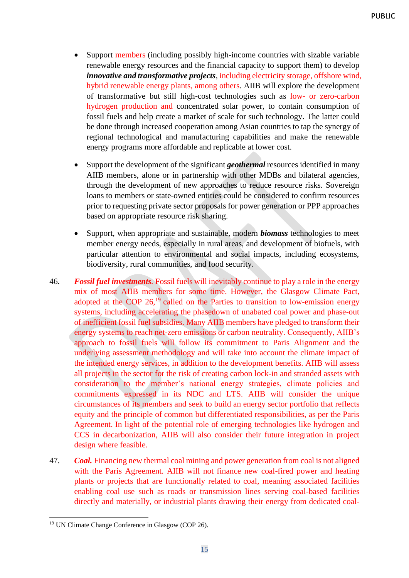- Support members (including possibly high-income countries with sizable variable renewable energy resources and the financial capacity to support them) to develop *innovative and transformative projects*, including electricity storage, offshore wind, hybrid renewable energy plants, among others. AIIB will explore the development of transformative but still high-cost technologies such as low- or zero-carbon hydrogen production and concentrated solar power, to contain consumption of fossil fuels and help create a market of scale for such technology. The latter could be done through increased cooperation among Asian countries to tap the synergy of regional technological and manufacturing capabilities and make the renewable energy programs more affordable and replicable at lower cost.
- Support the development of the significant *geothermal* resources identified in many AIIB members, alone or in partnership with other MDBs and bilateral agencies, through the development of new approaches to reduce resource risks. Sovereign loans to members or state-owned entities could be considered to confirm resources prior to requesting private sector proposals for power generation or PPP approaches based on appropriate resource risk sharing.
- Support, when appropriate and sustainable, modern *biomass* technologies to meet member energy needs, especially in rural areas, and development of biofuels, with particular attention to environmental and social impacts, including ecosystems, biodiversity, rural communities, and food security.
- 46. *Fossil fuel investments.* Fossil fuels will inevitably continue to play a role in the energy mix of most AIIB members for some time. However, the Glasgow Climate Pact, adopted at the COP  $26$ ,<sup>19</sup> called on the Parties to transition to low-emission energy systems, including accelerating the phasedown of unabated coal power and phase-out of inefficient fossil fuel subsidies. Many AIIB members have pledged to transform their energy systems to reach net-zero emissions or carbon neutrality. Consequently, AIIB's approach to fossil fuels will follow its commitment to Paris Alignment and the underlying assessment methodology and will take into account the climate impact of the intended energy services, in addition to the development benefits. AIIB will assess all projects in the sector for the risk of creating carbon lock-in and stranded assets with consideration to the member's national energy strategies, climate policies and commitments expressed in its NDC and LTS. AIIB will consider the unique circumstances of its members and seek to build an energy sector portfolio that reflects equity and the principle of common but differentiated responsibilities, as per the Paris Agreement. In light of the potential role of emerging technologies like hydrogen and CCS in decarbonization, AIIB will also consider their future integration in project design where feasible.
- 47. *Coal.* Financing new thermal coal mining and power generation from coal is not aligned with the Paris Agreement. AIIB will not finance new coal-fired power and heating plants or projects that are functionally related to coal, meaning associated facilities enabling coal use such as roads or transmission lines serving coal-based facilities directly and materially, or industrial plants drawing their energy from dedicated coal-

<sup>19</sup> UN Climate Change Conference in Glasgow (COP 26).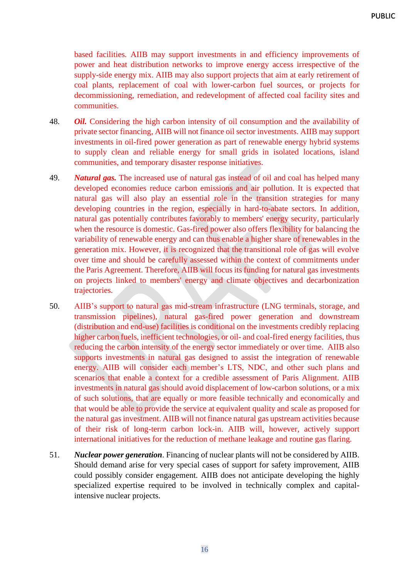based facilities. AIIB may support investments in and efficiency improvements of power and heat distribution networks to improve energy access irrespective of the supply-side energy mix. AIIB may also support projects that aim at early retirement of coal plants, replacement of coal with lower-carbon fuel sources, or projects for decommissioning, remediation, and redevelopment of affected coal facility sites and communities.

- 48. *Oil.* Considering the high carbon intensity of oil consumption and the availability of private sector financing, AIIB will not finance oil sector investments. AIIB may support investments in oil-fired power generation as part of renewable energy hybrid systems to supply clean and reliable energy for small grids in isolated locations, island communities, and temporary disaster response initiatives.
- 49. *Natural gas.* The increased use of natural gas instead of oil and coal has helped many developed economies reduce carbon emissions and air pollution. It is expected that natural gas will also play an essential role in the transition strategies for many developing countries in the region, especially in hard-to-abate sectors. In addition, natural gas potentially contributes favorably to members' energy security, particularly when the resource is domestic. Gas-fired power also offers flexibility for balancing the variability of renewable energy and can thus enable a higher share of renewables in the generation mix. However, it is recognized that the transitional role of gas will evolve over time and should be carefully assessed within the context of commitments under the Paris Agreement. Therefore, AIIB will focus its funding for natural gas investments on projects linked to members' energy and climate objectives and decarbonization trajectories.
- 50. AIIB's support to natural gas mid-stream infrastructure (LNG terminals, storage, and transmission pipelines), natural gas-fired power generation and downstream (distribution and end-use) facilities is conditional on the investments credibly replacing higher carbon fuels, inefficient technologies, or oil- and coal-fired energy facilities, thus reducing the carbon intensity of the energy sector immediately or over time. AIIB also supports investments in natural gas designed to assist the integration of renewable energy. AIIB will consider each member's LTS, NDC, and other such plans and scenarios that enable a context for a credible assessment of Paris Alignment. AIIB investments in natural gas should avoid displacement of low-carbon solutions, or a mix of such solutions, that are equally or more feasible technically and economically and that would be able to provide the service at equivalent quality and scale as proposed for the natural gas investment. AIIB will not finance natural gas upstream activities because of their risk of long-term carbon lock-in. AIIB will, however, actively support international initiatives for the reduction of methane leakage and routine gas flaring.
- 51. *Nuclear power generation*. Financing of nuclear plants will not be considered by AIIB. Should demand arise for very special cases of support for safety improvement, AIIB could possibly consider engagement. AIIB does not anticipate developing the highly specialized expertise required to be involved in technically complex and capitalintensive nuclear projects.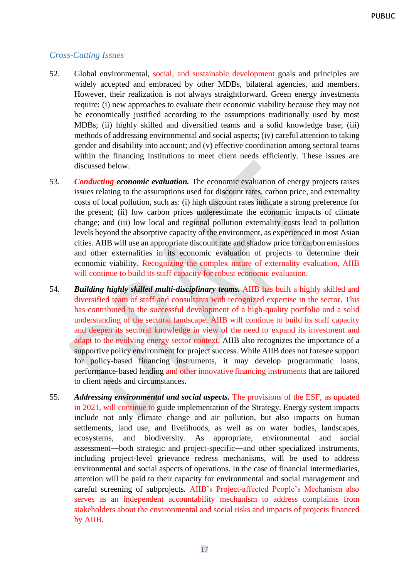#### <span id="page-20-0"></span>*Cross-Cutting Issues*

- 52. Global environmental, social, and sustainable development goals and principles are widely accepted and embraced by other MDBs, bilateral agencies, and members. However, their realization is not always straightforward. Green energy investments require: (i) new approaches to evaluate their economic viability because they may not be economically justified according to the assumptions traditionally used by most MDBs; (ii) highly skilled and diversified teams and a solid knowledge base; (iii) methods of addressing environmental and social aspects; (iv) careful attention to taking gender and disability into account; and (v) effective coordination among sectoral teams within the financing institutions to meet client needs efficiently. These issues are discussed below.
- 53. *Conducting economic evaluation.* The economic evaluation of energy projects raises issues relating to the assumptions used for discount rates, carbon price, and externality costs of local pollution, such as: (i) high discount rates indicate a strong preference for the present; (ii) low carbon prices underestimate the economic impacts of climate change; and (iii) low local and regional pollution externality costs lead to pollution levels beyond the absorptive capacity of the environment, as experienced in most Asian cities. AIIB will use an appropriate discount rate and shadow price for carbon emissions and other externalities in its economic evaluation of projects to determine their economic viability. Recognizing the complex nature of externality evaluation, AIIB will continue to build its staff capacity for robust economic evaluation.
- 54. *Building highly skilled multi-disciplinary teams.* AIIB has built a highly skilled and diversified team of staff and consultants with recognized expertise in the sector. This has contributed to the successful development of a high-quality portfolio and a solid understanding of the sectoral landscape. AIIB will continue to build its staff capacity and deepen its sectoral knowledge in view of the need to expand its investment and adapt to the evolving energy sector context. AIIB also recognizes the importance of a supportive policy environment for project success. While AIIB does not foresee support for policy-based financing instruments, it may develop programmatic loans, performance-based lending and other innovative financing instruments that are tailored to client needs and circumstances.
- 55. *Addressing environmental and social aspects.* The provisions of the ESF, as updated in 2021, will continue to guide implementation of the Strategy. Energy system impacts include not only climate change and air pollution, but also impacts on human settlements, land use, and livelihoods, as well as on water bodies, landscapes, ecosystems, and biodiversity. As appropriate, environmental and social assessment―both strategic and project-specific―and other specialized instruments, including project-level grievance redress mechanisms, will be used to address environmental and social aspects of operations. In the case of financial intermediaries, attention will be paid to their capacity for environmental and social management and careful screening of subprojects. AIIB's Project-affected People's Mechanism also serves as an independent accountability mechanism to address complaints from stakeholders about the environmental and social risks and impacts of projects financed by AIIB.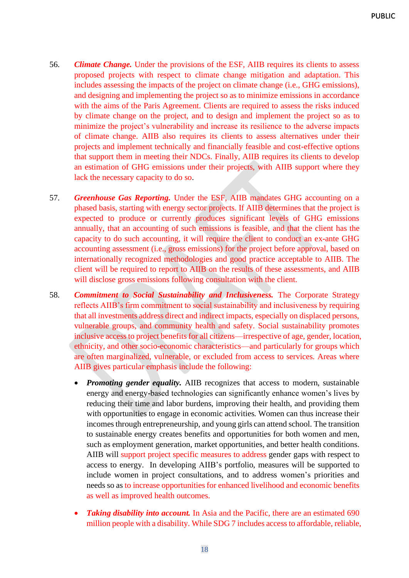- 56. *Climate Change.* Under the provisions of the ESF, AIIB requires its clients to assess proposed projects with respect to climate change mitigation and adaptation. This includes assessing the impacts of the project on climate change (i.e., GHG emissions), and designing and implementing the project so as to minimize emissions in accordance with the aims of the Paris Agreement. Clients are required to assess the risks induced by climate change on the project, and to design and implement the project so as to minimize the project's vulnerability and increase its resilience to the adverse impacts of climate change. AIIB also requires its clients to assess alternatives under their projects and implement technically and financially feasible and cost-effective options that support them in meeting their NDCs. Finally, AIIB requires its clients to develop an estimation of GHG emissions under their projects, with AIIB support where they lack the necessary capacity to do so.
- 57. *Greenhouse Gas Reporting.* Under the ESF, AIIB mandates GHG accounting on a phased basis, starting with energy sector projects. If AIIB determines that the project is expected to produce or currently produces significant levels of GHG emissions annually, that an accounting of such emissions is feasible, and that the client has the capacity to do such accounting, it will require the client to conduct an ex-ante GHG accounting assessment (i.e., gross emissions) for the project before approval, based on internationally recognized methodologies and good practice acceptable to AIIB. The client will be required to report to AIIB on the results of these assessments, and AIIB will disclose gross emissions following consultation with the client.
- 58. *Commitment to Social Sustainability and Inclusiveness.* The Corporate Strategy reflects AIIB's firm commitment to social sustainability and inclusiveness by requiring that all investments address direct and indirect impacts, especially on displaced persons, vulnerable groups, and community health and safety. Social sustainability promotes inclusive access to project benefits for all citizens—irrespective of age, gender, location, ethnicity, and other socio-economic characteristics—and particularly for groups which are often marginalized, vulnerable, or excluded from access to services. Areas where AIIB gives particular emphasis include the following:
	- *Promoting gender equality.* AIIB recognizes that access to modern, sustainable energy and energy-based technologies can significantly enhance women's lives by reducing their time and labor burdens, improving their health, and providing them with opportunities to engage in economic activities. Women can thus increase their incomes through entrepreneurship, and young girls can attend school. The transition to sustainable energy creates benefits and opportunities for both women and men, such as employment generation, market opportunities, and better health conditions. AIIB will support project specific measures to address gender gaps with respect to access to energy. In developing AIIB's portfolio, measures will be supported to include women in project consultations, and to address women's priorities and needs so as to increase opportunities for enhanced livelihood and economic benefits as well as improved health outcomes.
	- *Taking disability into account.* In Asia and the Pacific, there are an estimated 690 million people with a disability. While SDG 7 includes access to affordable, reliable,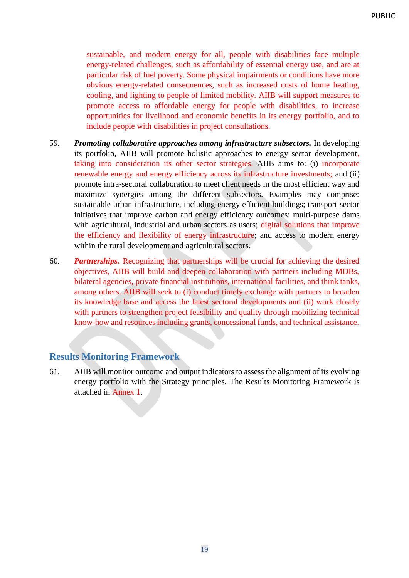sustainable, and modern energy for all, people with disabilities face multiple energy-related challenges, such as affordability of essential energy use, and are at particular risk of fuel poverty. Some physical impairments or conditions have more obvious energy-related consequences, such as increased costs of home heating, cooling, and lighting to people of limited mobility. AIIB will support measures to promote access to affordable energy for people with disabilities, to increase opportunities for livelihood and economic benefits in its energy portfolio, and to include people with disabilities in project consultations.

- 59. *Promoting collaborative approaches among infrastructure subsectors.* In developing its portfolio, AIIB will promote holistic approaches to energy sector development, taking into consideration its other sector strategies. AIIB aims to: (i) incorporate renewable energy and energy efficiency across its infrastructure investments; and (ii) promote intra-sectoral collaboration to meet client needs in the most efficient way and maximize synergies among the different subsectors. Examples may comprise: sustainable urban infrastructure, including energy efficient buildings; transport sector initiatives that improve carbon and energy efficiency outcomes; multi-purpose dams with agricultural, industrial and urban sectors as users; digital solutions that improve the efficiency and flexibility of energy infrastructure; and access to modern energy within the rural development and agricultural sectors.
- 60. *Partnerships.* Recognizing that partnerships will be crucial for achieving the desired objectives, AIIB will build and deepen collaboration with partners including MDBs, bilateral agencies, private financial institutions, international facilities, and think tanks, among others. AIIB will seek to (i) conduct timely exchange with partners to broaden its knowledge base and access the latest sectoral developments and (ii) work closely with partners to strengthen project feasibility and quality through mobilizing technical know-how and resources including grants, concessional funds, and technical assistance.

# <span id="page-22-0"></span>**Results Monitoring Framework**

61. AIIB will monitor outcome and output indicators to assess the alignment of its evolving energy portfolio with the Strategy principles. The Results Monitoring Framework is attached in Annex 1.